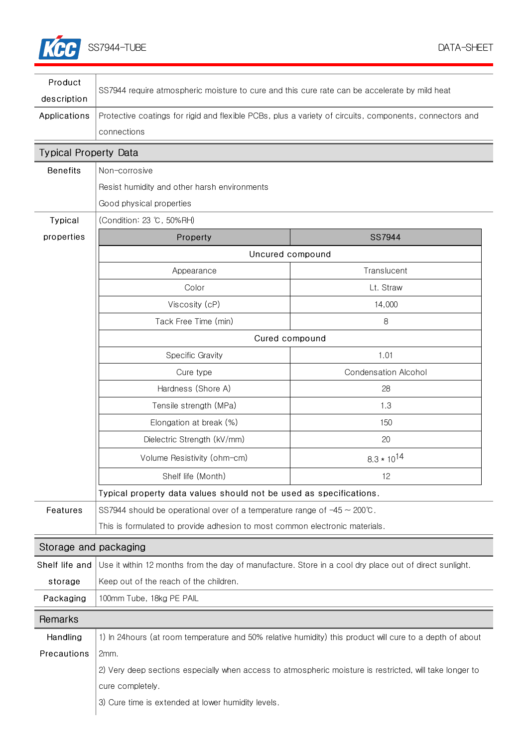

| Product                      |                                                                                                           |                             |  |
|------------------------------|-----------------------------------------------------------------------------------------------------------|-----------------------------|--|
| description                  | SS7944 require atmospheric moisture to cure and this cure rate can be accelerate by mild heat             |                             |  |
| Applications                 | Protective coatings for rigid and flexible PCBs, plus a variety of circuits, components, connectors and   |                             |  |
|                              | connections                                                                                               |                             |  |
| <b>Typical Property Data</b> |                                                                                                           |                             |  |
| <b>Benefits</b>              | Non-corrosive                                                                                             |                             |  |
|                              | Resist humidity and other harsh environments                                                              |                             |  |
|                              | Good physical properties                                                                                  |                             |  |
| Typical                      | (Condition: 23 °C, 50%RH)                                                                                 |                             |  |
| properties                   | Property                                                                                                  | SS7944                      |  |
|                              | Uncured compound                                                                                          |                             |  |
|                              | Appearance                                                                                                | Translucent                 |  |
|                              | Color                                                                                                     | Lt. Straw                   |  |
|                              | Viscosity (cP)                                                                                            | 14,000                      |  |
|                              | Tack Free Time (min)                                                                                      | 8                           |  |
|                              | Cured compound                                                                                            |                             |  |
|                              | <b>Specific Gravity</b>                                                                                   | 1.01                        |  |
|                              | Cure type                                                                                                 | <b>Condensation Alcohol</b> |  |
|                              | Hardness (Shore A)                                                                                        | 28                          |  |
|                              | Tensile strength (MPa)                                                                                    | 1.3                         |  |
|                              | Elongation at break (%)                                                                                   | 150                         |  |
|                              | Dielectric Strength (kV/mm)                                                                               | 20                          |  |
|                              | Volume Resistivity (ohm-cm)                                                                               | $8.3 * 10^{14}$             |  |
|                              | Shelf life (Month)                                                                                        | 12                          |  |
|                              | Typical property data values should not be used as specifications.                                        |                             |  |
| Features                     | SS7944 should be operational over of a temperature range of $-45 \sim 200^{\circ}$ .                      |                             |  |
|                              | This is formulated to provide adhesion to most common electronic materials.                               |                             |  |
| Storage and packaging        |                                                                                                           |                             |  |
| Shelf life and               | Use it within 12 months from the day of manufacture. Store in a cool dry place out of direct sunlight.    |                             |  |
| storage                      | Keep out of the reach of the children.                                                                    |                             |  |
| Packaging                    | 100mm Tube, 18kg PE PAIL                                                                                  |                             |  |
| Remarks                      |                                                                                                           |                             |  |
| Handling                     | 1) In 24 hours (at room temperature and 50% relative humidity) this product will cure to a depth of about |                             |  |
| Precautions                  | 2mm.                                                                                                      |                             |  |
|                              | 2) Very deep sections especially when access to atmospheric moisture is restricted, will take longer to   |                             |  |
|                              | cure completely.                                                                                          |                             |  |
|                              | 3) Cure time is extended at lower humidity levels.                                                        |                             |  |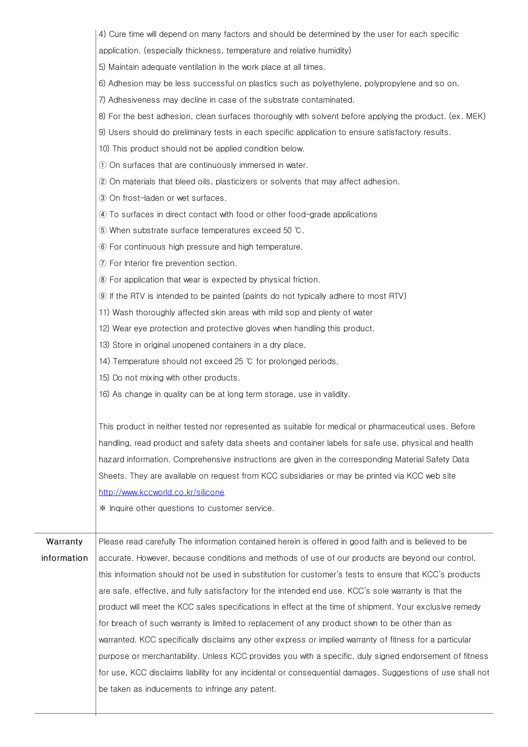|             | 4) Cure time will depend on many factors and should be determined by the user for each specific            |  |
|-------------|------------------------------------------------------------------------------------------------------------|--|
|             | application. (especially thickness, temperature and relative humidity)                                     |  |
|             | 5) Maintain adequate ventilation in the work place at all times.                                           |  |
|             | 6) Adhesion may be less successful on plastics such as polyethylene, polypropylene and so on.              |  |
|             | 7) Adhesiveness may decline in case of the substrate contaminated.                                         |  |
|             | 8) For the best adhesion, clean surfaces thoroughly with solvent before applying the product. (ex. MEK)    |  |
|             | 9) Users should do preliminary tests in each specific application to ensure satisfactory results.          |  |
|             | 10) This product should not be applied condition below.                                                    |  |
|             | 1) On surfaces that are continuously immersed in water.                                                    |  |
|             | (2) On materials that bleed oils, plasticizers or solvents that may affect adhesion.                       |  |
|             | 3 On frost-laden or wet surfaces.                                                                          |  |
|             | 4) To surfaces in direct contact with food or other food-grade applications                                |  |
|             | 50 When substrate surface temperatures exceed 50 °C.                                                       |  |
|             | 6 For continuous high pressure and high temperature.                                                       |  |
|             | (7) For Interior fire prevention section.                                                                  |  |
|             | 8 For application that wear is expected by physical friction.                                              |  |
|             | <b>9</b> If the RTV is intended to be painted (paints do not typically adhere to most RTV)                 |  |
|             | 11) Wash thoroughly affected skin areas with mild sop and plenty of water                                  |  |
|             | 12) Wear eye protection and protective gloves when handling this product.                                  |  |
|             | 13) Store in original unopened containers in a dry place.                                                  |  |
|             | 14) Temperature should not exceed 25 °C for prolonged periods.                                             |  |
|             | 15) Do not mixing with other products.                                                                     |  |
|             | 16) As change in quality can be at long term storage, use in validity.                                     |  |
|             |                                                                                                            |  |
|             | This product in neither tested nor represented as suitable for medical or pharmaceutical uses. Before      |  |
|             | handling, read product and safety data sheets and container labels for safe use, physical and health       |  |
|             | hazard information. Comprehensive instructions are given in the corresponding Material Safety Data         |  |
|             | Sheets. They are available on request from KCC subsidiaries or may be printed via KCC web site             |  |
|             | http://www.kccworld.co.kr/silicone                                                                         |  |
|             | * Inquire other questions to customer service.                                                             |  |
|             |                                                                                                            |  |
| Warranty    | Please read carefully The information contained herein is offered in good faith and is believed to be      |  |
| information | accurate. However, because conditions and methods of use of our products are beyond our control,           |  |
|             | this information should not be used in substitution for customer's tests to ensure that KCC's products     |  |
|             | are safe, effective, and fully satisfactory for the intended end use. KCC's sole warranty is that the      |  |
|             | product will meet the KCC sales specifications in effect at the time of shipment. Your exclusive remedy    |  |
|             | for breach of such warranty is limited to replacement of any product shown to be other than as             |  |
|             | warranted. KCC specifically disclaims any other express or implied warranty of fitness for a particular    |  |
|             | purpose or merchantability. Unless KCC provides you with a specific, duly signed endorsement of fitness    |  |
|             | for use, KCC disclaims liability for any incidental or consequential damages. Suggestions of use shall not |  |
|             | be taken as inducements to infringe any patent.                                                            |  |
|             |                                                                                                            |  |